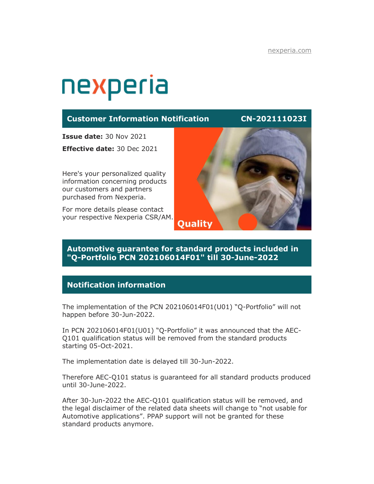# nexperia

## **Customer Information Notification CN-202111023I**

**Issue date:** 30 Nov 2021

**Effective date:** 30 Dec 2021

Here's your personalized quality information concerning products our customers and partners purchased from Nexperia.

For more details please contact your respective Nexperia CSR/AM.



## **Automotive guarantee for standard products included in "Q-Portfolio PCN 202106014F01" till 30-June-2022**

# **Notification information**

The implementation of the PCN 202106014F01(U01) "Q-Portfolio" will not happen before 30-Jun-2022.

In PCN 202106014F01(U01) "Q-Portfolio" it was announced that the AEC-Q101 qualification status will be removed from the standard products starting 05-Oct-2021.

The implementation date is delayed till 30-Jun-2022.

Therefore AEC-Q101 status is guaranteed for all standard products produced until 30-June-2022.

After 30-Jun-2022 the AEC-Q101 qualification status will be removed, and the legal disclaimer of the related data sheets will change to "not usable for Automotive applications". PPAP support will not be granted for these standard products anymore.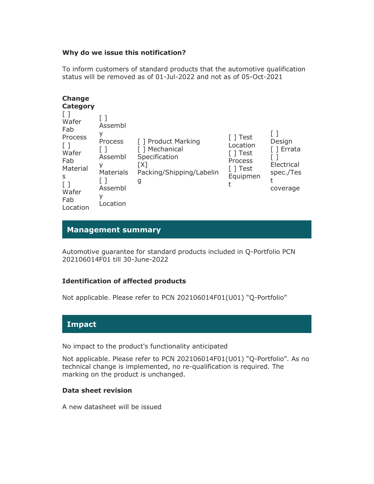#### **Why do we issue this notification?**

To inform customers of standard products that the automotive qualification status will be removed as of 01-Jul-2022 and not as of 05-Oct-2021

| <b>Change</b><br>Category<br>Wafer<br>Fab<br>Process<br>$\perp$<br>Wafer<br>Fab<br>Material<br>S<br>Wafer<br>Fab | Assembl<br>У<br>Process<br>Assembl<br>у<br><b>Materials</b><br>Assembl<br>v<br>Location | [ ] Product Marking<br>T Mechanical<br>Specification<br>[X]<br>Packing/Shipping/Labelin<br>g | $\lceil$ Test<br>Location<br>1 Test<br>Process<br>Test<br>Equipmen | Design<br>1 Errata<br>Electrical<br>spec./Tes<br>coverage |
|------------------------------------------------------------------------------------------------------------------|-----------------------------------------------------------------------------------------|----------------------------------------------------------------------------------------------|--------------------------------------------------------------------|-----------------------------------------------------------|
| Location                                                                                                         |                                                                                         |                                                                                              |                                                                    |                                                           |

# **Management summary**

Automotive guarantee for standard products included in Q-Portfolio PCN 202106014F01 till 30-June-2022

### **Identification of affected products**

Not applicable. Please refer to PCN 202106014F01(U01) "Q-Portfolio"

# **Impact**

No impact to the product's functionality anticipated

Not applicable. Please refer to PCN 202106014F01(U01) "Q-Portfolio". As no technical change is implemented, no re-qualification is required. The marking on the product is unchanged.

### **Data sheet revision**

A new datasheet will be issued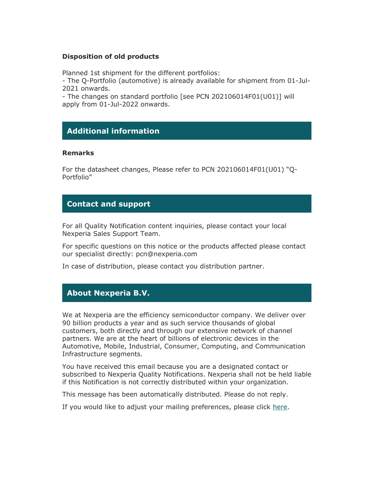#### **Disposition of old products**

Planned 1st shipment for the different portfolios:

- The Q-Portfolio (automotive) is already available for shipment from 01-Jul-2021 onwards.

- The changes on standard portfolio [see PCN 202106014F01(U01)] will apply from 01-Jul-2022 onwards.

# **Additional information**

#### **Remarks**

For the datasheet changes, Please refer to PCN 202106014F01(U01) "Q-Portfolio"

### **Contact and support**

For all Quality Notification content inquiries, please contact your local Nexperia Sales Support Team.

For specific questions on this notice or the products affected please contact our specialist directly: pcn@nexperia.com

In case of distribution, please contact you distribution partner.

### **About Nexperia B.V.**

We at Nexperia are the efficiency semiconductor company. We deliver over 90 billion products a year and as such service thousands of global customers, both directly and through our extensive network of channel partners. We are at the heart of billions of electronic devices in the Automotive, Mobile, Industrial, Consumer, Computing, and Communication Infrastructure segments.

You have received this email because you are a designated contact or subscribed to Nexperia Quality Notifications. Nexperia shall not be held liable if this Notification is not correctly distributed within your organization.

This message has been automatically distributed. Please do not reply.

If you would like to adjust your mailing preferences, please click [here.](https://www.nexperia.com/my/my-preferences.html)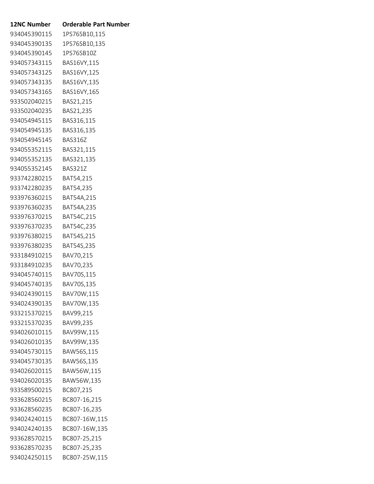| <b>Orderable Part Number</b> |
|------------------------------|
| 1PS76SB10,115                |
| 1PS76SB10,135                |
| 1PS76SB10Z                   |
| BAS16VY,115                  |
| BAS16VY,125                  |
| BAS16VY,135                  |
| BAS16VY,165                  |
| BAS21,215                    |
| BAS21,235                    |
| BAS316,115                   |
| BAS316,135                   |
| BAS316Z                      |
| BAS321,115                   |
| BAS321,135                   |
| <b>BAS321Z</b>               |
| BAT54,215                    |
| BAT54,235                    |
| BAT54A,215                   |
| BAT54A,235                   |
| BAT54C,215                   |
| BAT54C,235                   |
| BAT54S,215                   |
| BAT54S,235                   |
| BAV70,215                    |
| BAV70,235                    |
| BAV70S,115                   |
| BAV70S,135                   |
| BAV70W,115                   |
| BAV70W,135                   |
| BAV99,215                    |
| BAV99,235                    |
| BAV99W,115                   |
| BAV99W,135                   |
| BAW56S,115                   |
| BAW56S,135                   |
| BAW56W,115                   |
| BAW56W,135                   |
| BC807,215                    |
| BC807-16,215                 |
| BC807-16,235                 |
| BC807-16W,115                |
| BC807-16W,135                |
| BC807-25,215                 |
| BC807-25,235                 |
| BC807-25W,115                |
|                              |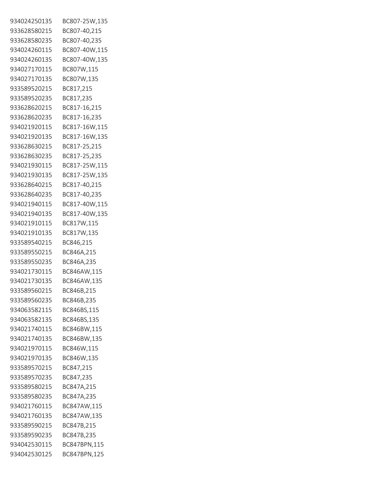| 934024250135 | BC807-25W,135 |
|--------------|---------------|
| 933628580215 | BC807-40,215  |
| 933628580235 | BC807-40,235  |
| 934024260115 | BC807-40W,115 |
| 934024260135 | BC807-40W,135 |
| 934027170115 | BC807W,115    |
| 934027170135 | BC807W,135    |
| 933589520215 | BC817,215     |
| 933589520235 | BC817,235     |
| 933628620215 | BC817-16,215  |
| 933628620235 | BC817-16,235  |
| 934021920115 | BC817-16W,115 |
| 934021920135 | BC817-16W,135 |
| 933628630215 | BC817-25,215  |
| 933628630235 | BC817-25,235  |
| 934021930115 | BC817-25W,115 |
| 934021930135 | BC817-25W,135 |
| 933628640215 | BC817-40,215  |
| 933628640235 | BC817-40,235  |
| 934021940115 | BC817-40W,115 |
| 934021940135 | BC817-40W,135 |
| 934021910115 | BC817W,115    |
| 934021910135 | BC817W,135    |
| 933589540215 | BC846,215     |
| 933589550215 | BC846A,215    |
| 933589550235 | BC846A,235    |
| 934021730115 | BC846AW,115   |
| 934021730135 | BC846AW,135   |
| 933589560215 | BC846B,215    |
| 933589560235 | BC846B,235    |
| 934063582115 | BC846BS,115   |
| 934063582135 | BC846BS,135   |
| 934021740115 | BC846BW,115   |
| 934021740135 | BC846BW,135   |
| 934021970115 | BC846W,115    |
| 934021970135 | BC846W,135    |
| 933589570215 | BC847,215     |
| 933589570235 | BC847,235     |
| 933589580215 | BC847A,215    |
| 933589580235 | BC847A,235    |
| 934021760115 | BC847AW,115   |
| 934021760135 | BC847AW,135   |
| 933589590215 | BC847B,215    |
| 933589590235 | BC847B,235    |
| 934042530115 | BC847BPN,115  |
| 934042530125 | BC847BPN,125  |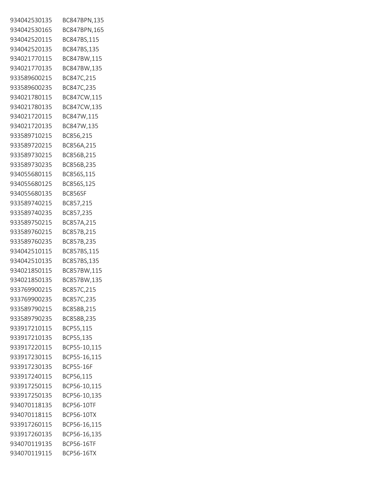| 934042530135 | BC847BPN,135      |
|--------------|-------------------|
| 934042530165 | BC847BPN,165      |
| 934042520115 | BC847BS,115       |
| 934042520135 | BC847BS,135       |
| 934021770115 | BC847BW,115       |
| 934021770135 | BC847BW,135       |
| 933589600215 | BC847C,215        |
| 933589600235 | BC847C,235        |
| 934021780115 | BC847CW,115       |
| 934021780135 | BC847CW,135       |
| 934021720115 | BC847W,115        |
| 934021720135 | BC847W,135        |
| 933589710215 | BC856,215         |
| 933589720215 | BC856A,215        |
| 933589730215 | BC856B,215        |
| 933589730235 | BC856B,235        |
| 934055680115 | BC856S,115        |
| 934055680125 | BC856S,125        |
| 934055680135 | BC856SF           |
| 933589740215 | BC857,215         |
| 933589740235 | BC857,235         |
| 933589750215 | BC857A,215        |
| 933589760215 | BC857B,215        |
| 933589760235 | BC857B,235        |
| 934042510115 | BC857BS,115       |
| 934042510135 | BC857BS,135       |
| 934021850115 | BC857BW,115       |
| 934021850135 | BC857BW,135       |
| 933769900215 | BC857C,215        |
| 933769900235 | BC857C,235        |
| 933589790215 | BC858B,215        |
| 933589790235 | BC858B,235        |
| 933917210115 | BCP55,115         |
| 933917210135 | BCP55,135         |
| 933917220115 | BCP55-10,115      |
| 933917230115 | BCP55-16,115      |
| 933917230135 | <b>BCP55-16F</b>  |
| 933917240115 | BCP56,115         |
| 933917250115 | BCP56-10,115      |
| 933917250135 | BCP56-10,135      |
| 934070118135 | BCP56-10TF        |
| 934070118115 | <b>BCP56-10TX</b> |
| 933917260115 | BCP56-16,115      |
| 933917260135 | BCP56-16,135      |
| 934070119135 | <b>BCP56-16TF</b> |
| 934070119115 | <b>BCP56-16TX</b> |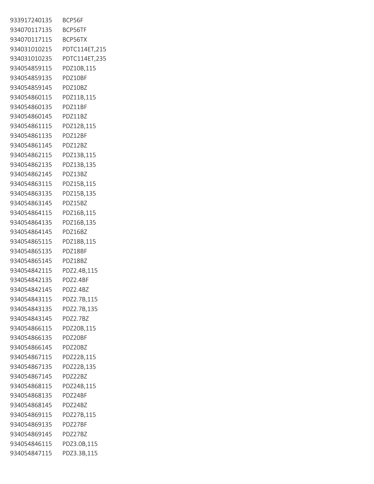| 933917240135 | BCP56F        |
|--------------|---------------|
| 934070117135 | BCP56TF       |
| 934070117115 | BCP56TX       |
| 934031010215 | PDTC114ET,215 |
| 934031010235 | PDTC114ET,235 |
| 934054859115 | PDZ10B,115    |
| 934054859135 | PDZ10BF       |
| 934054859145 | PDZ10BZ       |
| 934054860115 | PDZ11B,115    |
| 934054860135 | PDZ11BF       |
| 934054860145 | PDZ11BZ       |
| 934054861115 | PDZ12B,115    |
| 934054861135 | PDZ12BF       |
| 934054861145 | PDZ12BZ       |
| 934054862115 | PDZ13B,115    |
| 934054862135 | PDZ13B,135    |
| 934054862145 | PDZ13BZ       |
| 934054863115 | PDZ15B,115    |
| 934054863135 | PDZ15B,135    |
| 934054863145 | PDZ15BZ       |
| 934054864115 | PDZ16B,115    |
| 934054864135 | PDZ16B,135    |
| 934054864145 | PDZ16BZ       |
| 934054865115 | PDZ18B,115    |
| 934054865135 | PDZ18BF       |
| 934054865145 | PDZ18BZ       |
| 934054842115 | PDZ2.4B,115   |
| 934054842135 | PDZ2.4BF      |
| 934054842145 | PDZ2.4BZ      |
| 934054843115 | PDZ2.7B,115   |
| 934054843135 | PDZ2.7B,135   |
| 934054843145 | PDZ2.7BZ      |
| 934054866115 | PDZ20B,115    |
| 934054866135 | PDZ20BF       |
| 934054866145 | PDZ20BZ       |
| 934054867115 | PDZ22B,115    |
| 934054867135 | PDZ22B,135    |
| 934054867145 | PDZ22BZ       |
| 934054868115 | PDZ24B,115    |
| 934054868135 | PDZ24BF       |
| 934054868145 | PDZ24BZ       |
| 934054869115 | PDZ27B,115    |
| 934054869135 | PDZ27BF       |
| 934054869145 | PDZ27BZ       |
| 934054846115 | PDZ3.0B,115   |
| 934054847115 | PDZ3.3B,115   |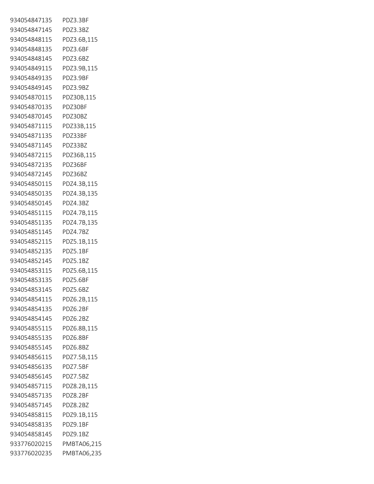| 934054847135             | PDZ3.3BF    |
|--------------------------|-------------|
| 934054847145             | PDZ3.3BZ    |
| 934054848115             | PDZ3.6B,115 |
| 934054848135             | PDZ3.6BF    |
| 934054848145 PDZ3.6BZ    |             |
| 934054849115             | PDZ3.9B,115 |
| 934054849135             | PDZ3.9BF    |
| 934054849145             | PDZ3.9BZ    |
| 934054870115             | PDZ30B,115  |
| 934054870135             | PDZ30BF     |
| 934054870145             | PDZ30BZ     |
| 934054871115             | PDZ33B,115  |
| 934054871135             | PDZ33BF     |
| 934054871145             | PDZ33BZ     |
| 934054872115             | PDZ36B,115  |
| 934054872135             | PDZ36BF     |
| 934054872145             | PDZ36BZ     |
| 934054850115             | PDZ4.3B,115 |
| 934054850135             | PDZ4.3B,135 |
| 934054850145             | PDZ4.3BZ    |
| 934054851115 PDZ4.7B,115 |             |
| 934054851135             | PDZ4.7B,135 |
| 934054851145             | PDZ4.7BZ    |
| 934054852115 PDZ5.1B,115 |             |
| 934054852135             | PDZ5.1BF    |
| 934054852145 PDZ5.1BZ    |             |
| 934054853115 PDZ5.6B,115 |             |
| 934054853135             | PDZ5.6BF    |
| 934054853145             | PDZ5.6BZ    |
| 934054854115             | PDZ6.2B,115 |
| 934054854135             | PDZ6.2BF    |
| 934054854145             | PDZ6.2BZ    |
| 934054855115             | PDZ6.8B,115 |
| 934054855135             | PDZ6.8BF    |
| 934054855145             | PD76.8B7    |
| 934054856115             | PDZ7.5B,115 |
| 934054856135             | PDZ7.5BF    |
| 934054856145             | PDZ7.5BZ    |
| 934054857115             | PDZ8.2B,115 |
| 934054857135             | PDZ8.2BF    |
| 934054857145             | PDZ8.2BZ    |
| 934054858115             | PDZ9.1B,115 |
| 934054858135             | PDZ9.1BF    |
| 934054858145             | PDZ9.1BZ    |
| 933776020215             | PMBTA06,215 |
| 933776020235             | PMBTA06,235 |